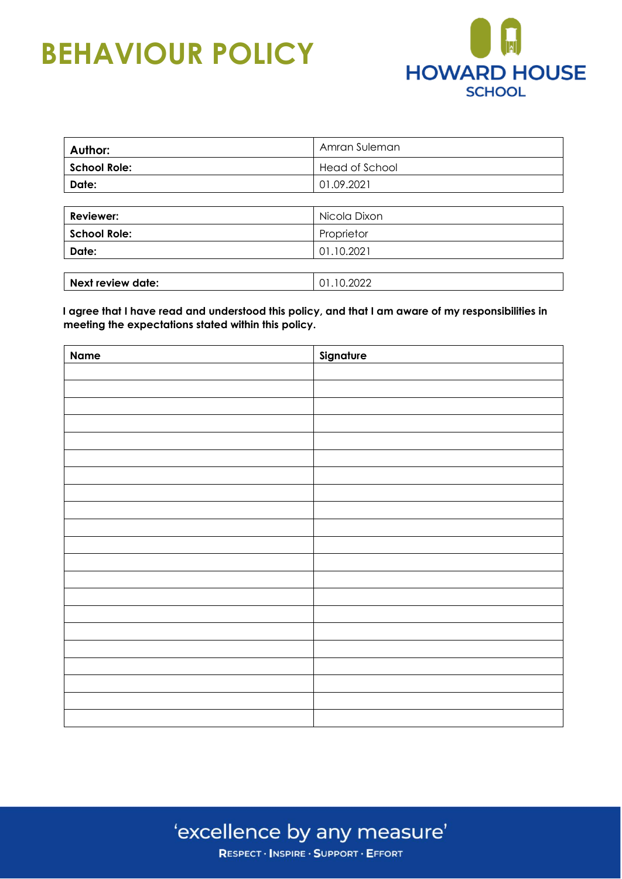

| Author:             | Amran Suleman  |
|---------------------|----------------|
| <b>School Role:</b> | Head of School |
| Date:               | 01.09.2021     |
|                     |                |
| <b>Reviewer:</b>    | Nicola Dixon   |
| <b>School Role:</b> | Proprietor     |
| Date:               | 01.10.2021     |
|                     |                |
| Next review date:   | 01.10.2022     |

**I agree that I have read and understood this policy, and that I am aware of my responsibilities in meeting the expectations stated within this policy.** 

| <b>Name</b> | Signature |
|-------------|-----------|
|             |           |
|             |           |
|             |           |
|             |           |
|             |           |
|             |           |
|             |           |
|             |           |
|             |           |
|             |           |
|             |           |
|             |           |
|             |           |
|             |           |
|             |           |
|             |           |
|             |           |
|             |           |
|             |           |
|             |           |
|             |           |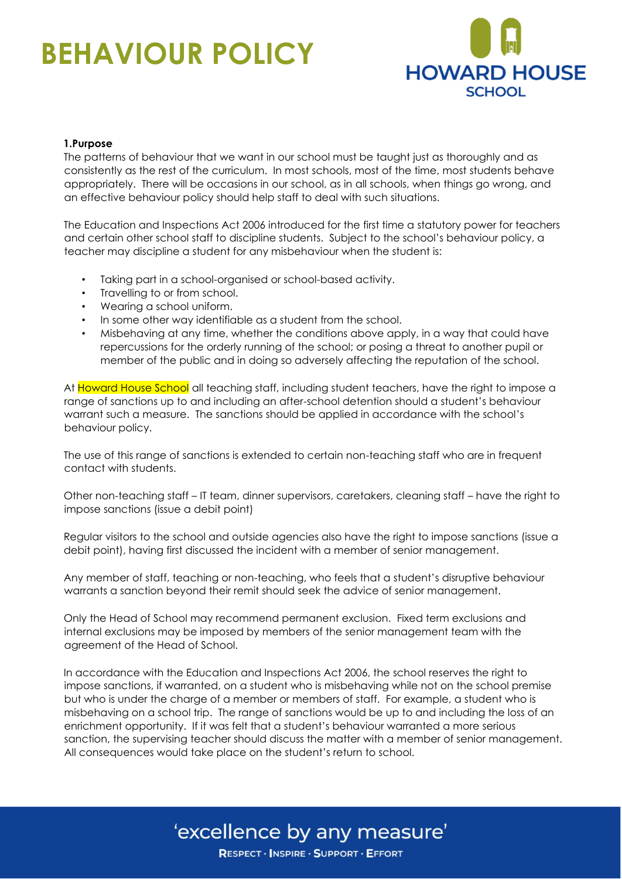

#### **1.Purpose**

The patterns of behaviour that we want in our school must be taught just as thoroughly and as consistently as the rest of the curriculum. In most schools, most of the time, most students behave appropriately. There will be occasions in our school, as in all schools, when things go wrong, and an effective behaviour policy should help staff to deal with such situations.

The Education and Inspections Act 2006 introduced for the first time a statutory power for teachers and certain other school staff to discipline students. Subject to the school's behaviour policy, a teacher may discipline a student for any misbehaviour when the student is:

- Taking part in a school-organised or school-based activity.
- Travelling to or from school.
- Wearing a school uniform.
- In some other way identifiable as a student from the school.
- Misbehaving at any time, whether the conditions above apply, in a way that could have repercussions for the orderly running of the school; or posing a threat to another pupil or member of the public and in doing so adversely affecting the reputation of the school.

At Howard House School all teaching staff, including student teachers, have the right to impose a range of sanctions up to and including an after-school detention should a student's behaviour warrant such a measure. The sanctions should be applied in accordance with the school's behaviour policy.

The use of this range of sanctions is extended to certain non-teaching staff who are in frequent contact with students.

Other non-teaching staff – IT team, dinner supervisors, caretakers, cleaning staff – have the right to impose sanctions (issue a debit point)

Regular visitors to the school and outside agencies also have the right to impose sanctions (issue a debit point), having first discussed the incident with a member of senior management.

Any member of staff, teaching or non-teaching, who feels that a student's disruptive behaviour warrants a sanction beyond their remit should seek the advice of senior management.

Only the Head of School may recommend permanent exclusion. Fixed term exclusions and internal exclusions may be imposed by members of the senior management team with the agreement of the Head of School.

In accordance with the Education and Inspections Act 2006, the school reserves the right to impose sanctions, if warranted, on a student who is misbehaving while not on the school premise but who is under the charge of a member or members of staff. For example, a student who is misbehaving on a school trip. The range of sanctions would be up to and including the loss of an enrichment opportunity. If it was felt that a student's behaviour warranted a more serious sanction, the supervising teacher should discuss the matter with a member of senior management. All consequences would take place on the student's return to school.

### 'excellence by any measure'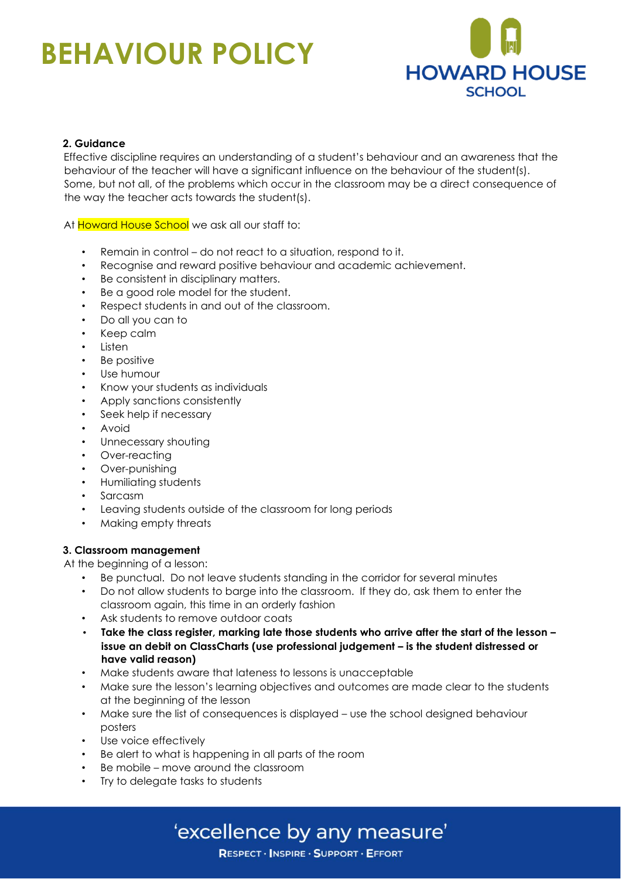

#### **2. Guidance**

Effective discipline requires an understanding of a student's behaviour and an awareness that the behaviour of the teacher will have a significant influence on the behaviour of the student(s). Some, but not all, of the problems which occur in the classroom may be a direct consequence of the way the teacher acts towards the student(s).

At Howard House School we ask all our staff to:

- Remain in control do not react to a situation, respond to it.
- Recognise and reward positive behaviour and academic achievement.
- Be consistent in disciplinary matters.
- Be a good role model for the student.
- Respect students in and out of the classroom.
- Do all you can to
- Keep calm
- Listen
- Be positive
- Use humour
- Know your students as individuals
- Apply sanctions consistently
- Seek help if necessary
- **Avoid**
- Unnecessary shouting
- Over-reacting
- Over-punishing
- Humiliating students
- Sarcasm
- Leaving students outside of the classroom for long periods
- Making empty threats

#### **3. Classroom management**

At the beginning of a lesson:

- Be punctual. Do not leave students standing in the corridor for several minutes
- Do not allow students to barge into the classroom. If they do, ask them to enter the classroom again, this time in an orderly fashion
- Ask students to remove outdoor coats
- **Take the class register, marking late those students who arrive after the start of the lesson – issue an debit on ClassCharts (use professional judgement – is the student distressed or have valid reason)**
- Make students aware that lateness to lessons is unacceptable
- Make sure the lesson's learning objectives and outcomes are made clear to the students at the beginning of the lesson
- Make sure the list of consequences is displayed use the school designed behaviour posters
- Use voice effectively
- Be alert to what is happening in all parts of the room
- Be mobile move around the classroom
- Try to delegate tasks to students

### 'excellence by any measure'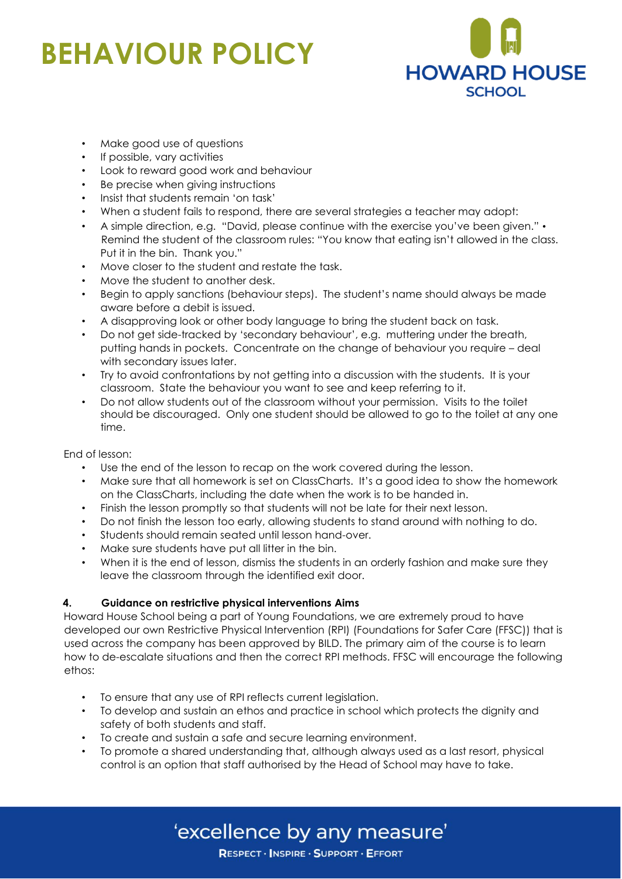

- Make good use of questions
- If possible, vary activities
- Look to reward good work and behaviour
- Be precise when giving instructions
- Insist that students remain 'on task'
- When a student fails to respond, there are several strategies a teacher may adopt:
- A simple direction, e.g. "David, please continue with the exercise you've been given." Remind the student of the classroom rules: "You know that eating isn't allowed in the class. Put it in the bin. Thank you."
- Move closer to the student and restate the task.
- Move the student to another desk.
- Begin to apply sanctions (behaviour steps). The student's name should always be made aware before a debit is issued.
- A disapproving look or other body language to bring the student back on task.
- Do not get side-tracked by 'secondary behaviour', e.g. muttering under the breath, putting hands in pockets. Concentrate on the change of behaviour you require – deal with secondary issues later.
- Try to avoid confrontations by not getting into a discussion with the students. It is your classroom. State the behaviour you want to see and keep referring to it.
- Do not allow students out of the classroom without your permission. Visits to the toilet should be discouraged. Only one student should be allowed to go to the toilet at any one time.

#### End of lesson:

- Use the end of the lesson to recap on the work covered during the lesson.
- Make sure that all homework is set on ClassCharts. It's a good idea to show the homework on the ClassCharts, including the date when the work is to be handed in.
- Finish the lesson promptly so that students will not be late for their next lesson.
- Do not finish the lesson too early, allowing students to stand around with nothing to do.
- Students should remain seated until lesson hand-over.
- Make sure students have put all litter in the bin.
- When it is the end of lesson, dismiss the students in an orderly fashion and make sure they leave the classroom through the identified exit door.

#### **4. Guidance on restrictive physical interventions Aims**

Howard House School being a part of Young Foundations, we are extremely proud to have developed our own Restrictive Physical Intervention (RPI) (Foundations for Safer Care (FFSC)) that is used across the company has been approved by BILD. The primary aim of the course is to learn how to de-escalate situations and then the correct RPI methods. FFSC will encourage the following ethos:

- To ensure that any use of RPI reflects current legislation.
- To develop and sustain an ethos and practice in school which protects the dignity and safety of both students and staff.
- To create and sustain a safe and secure learning environment.
- To promote a shared understanding that, although always used as a last resort, physical control is an option that staff authorised by the Head of School may have to take.

'excellence by any measure'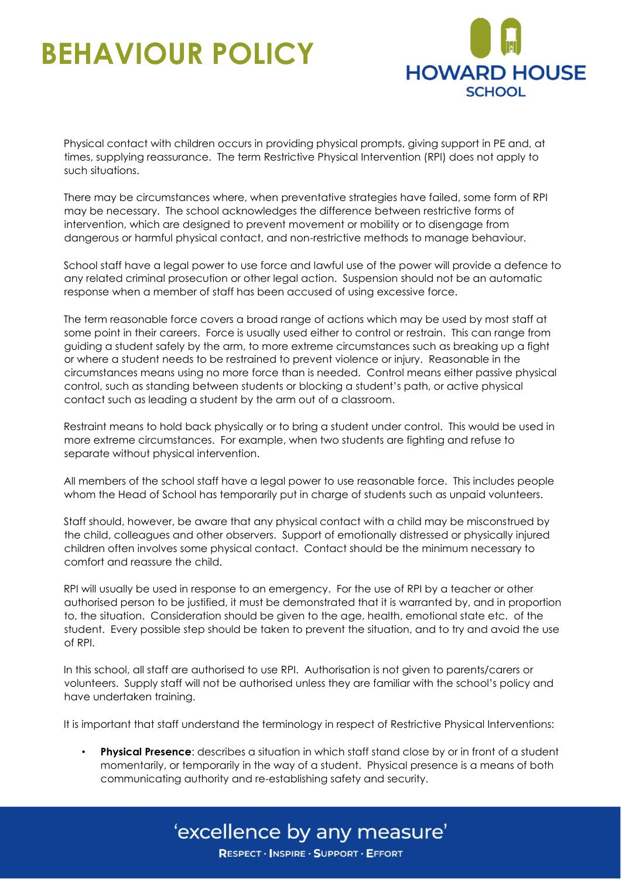

Physical contact with children occurs in providing physical prompts, giving support in PE and, at times, supplying reassurance. The term Restrictive Physical Intervention (RPI) does not apply to such situations.

There may be circumstances where, when preventative strategies have failed, some form of RPI may be necessary. The school acknowledges the difference between restrictive forms of intervention, which are designed to prevent movement or mobility or to disengage from dangerous or harmful physical contact, and non-restrictive methods to manage behaviour.

School staff have a legal power to use force and lawful use of the power will provide a defence to any related criminal prosecution or other legal action. Suspension should not be an automatic response when a member of staff has been accused of using excessive force.

The term reasonable force covers a broad range of actions which may be used by most staff at some point in their careers. Force is usually used either to control or restrain. This can range from guiding a student safely by the arm, to more extreme circumstances such as breaking up a fight or where a student needs to be restrained to prevent violence or injury. Reasonable in the circumstances means using no more force than is needed. Control means either passive physical control, such as standing between students or blocking a student's path, or active physical contact such as leading a student by the arm out of a classroom.

Restraint means to hold back physically or to bring a student under control. This would be used in more extreme circumstances. For example, when two students are fighting and refuse to separate without physical intervention.

All members of the school staff have a legal power to use reasonable force. This includes people whom the Head of School has temporarily put in charge of students such as unpaid volunteers.

Staff should, however, be aware that any physical contact with a child may be misconstrued by the child, colleagues and other observers. Support of emotionally distressed or physically injured children often involves some physical contact. Contact should be the minimum necessary to comfort and reassure the child.

RPI will usually be used in response to an emergency. For the use of RPI by a teacher or other authorised person to be justified, it must be demonstrated that it is warranted by, and in proportion to, the situation. Consideration should be given to the age, health, emotional state etc. of the student. Every possible step should be taken to prevent the situation, and to try and avoid the use of RPI.

In this school, all staff are authorised to use RPI. Authorisation is not given to parents/carers or volunteers. Supply staff will not be authorised unless they are familiar with the school's policy and have undertaken training.

It is important that staff understand the terminology in respect of Restrictive Physical Interventions:

• **Physical Presence**: describes a situation in which staff stand close by or in front of a student momentarily, or temporarily in the way of a student. Physical presence is a means of both communicating authority and re-establishing safety and security.

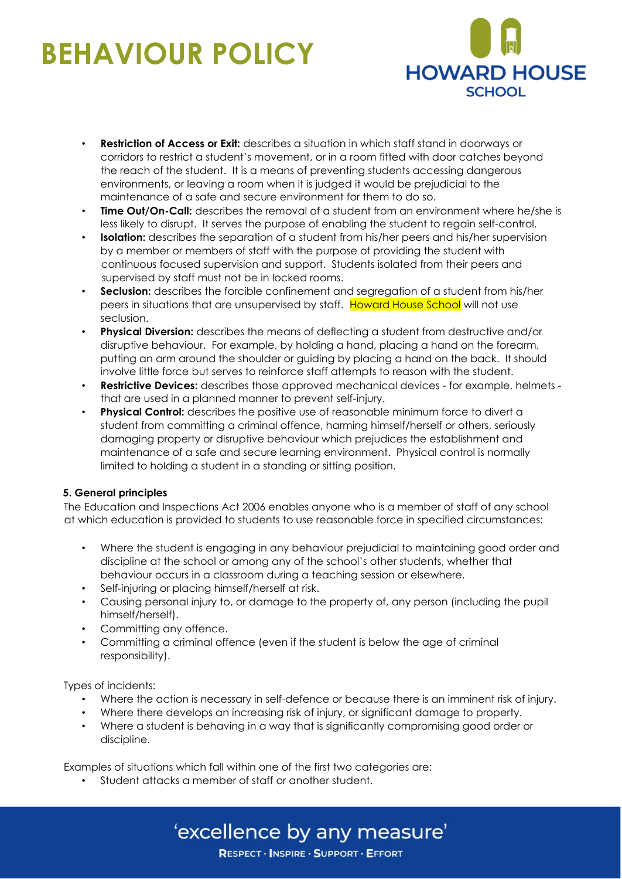

- **Restriction of Access or Exit:** describes a situation in which staff stand in doorways or corridors to restrict a student's movement, or in a room fitted with door catches beyond the reach of the student. It is a means of preventing students accessing dangerous environments, or leaving a room when it is judged it would be prejudicial to the maintenance of a safe and secure environment for them to do so.
- **Time Out/On-Call:** describes the removal of a student from an environment where he/she is less likely to disrupt. It serves the purpose of enabling the student to regain self-control.
- **Isolation:** describes the separation of a student from his/her peers and his/her supervision by a member or members of staff with the purpose of providing the student with continuous focused supervision and support. Students isolated from their peers and supervised by staff must not be in locked rooms.
- **Seclusion:** describes the forcible confinement and segregation of a student from his/her peers in situations that are unsupervised by staff. Howard House School will not use seclusion.
- **Physical Diversion:** describes the means of deflecting a student from destructive and/or disruptive behaviour. For example, by holding a hand, placing a hand on the forearm, putting an arm around the shoulder or guiding by placing a hand on the back. It should involve little force but serves to reinforce staff attempts to reason with the student.
- **Restrictive Devices:** describes those approved mechanical devices for example, helmets that are used in a planned manner to prevent self-injury.
- **Physical Control:** describes the positive use of reasonable minimum force to divert a student from committing a criminal offence, harming himself/herself or others, seriously damaging property or disruptive behaviour which prejudices the establishment and maintenance of a safe and secure learning environment. Physical control is normally limited to holding a student in a standing or sitting position.

#### **5. General principles**

The Education and Inspections Act 2006 enables anyone who is a member of staff of any school at which education is provided to students to use reasonable force in specified circumstances:

- Where the student is engaging in any behaviour prejudicial to maintaining good order and discipline at the school or among any of the school's other students, whether that behaviour occurs in a classroom during a teaching session or elsewhere.
- Self-injuring or placing himself/herself at risk.
- Causing personal injury to, or damage to the property of, any person (including the pupil himself/herself).
- Committing any offence.
- Committing a criminal offence (even if the student is below the age of criminal responsibility).

Types of incidents:

- Where the action is necessary in self-defence or because there is an imminent risk of injury.
- Where there develops an increasing risk of injury, or significant damage to property.
- Where a student is behaving in a way that is significantly compromising good order or discipline.

Examples of situations which fall within one of the first two categories are:

• Student attacks a member of staff or another student.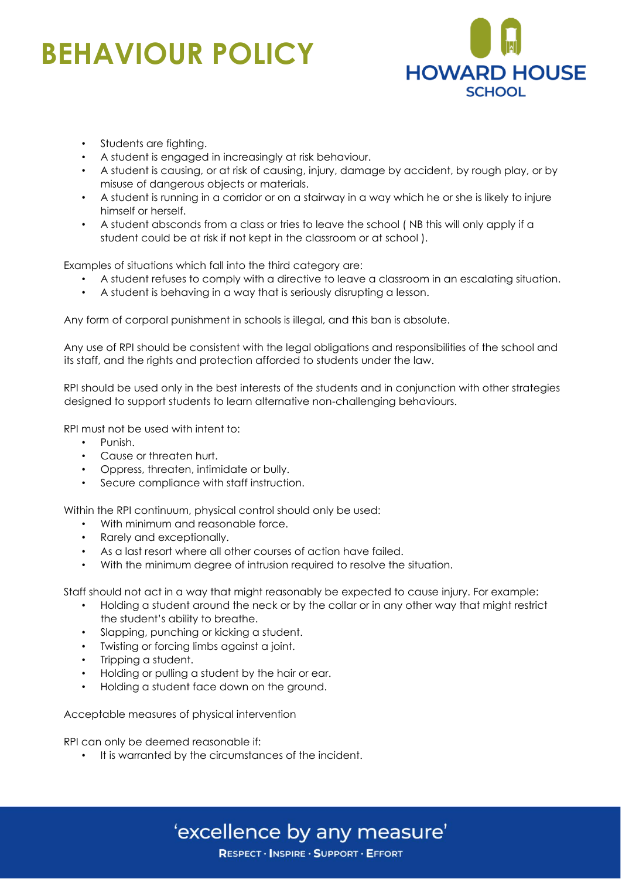

- Students are fighting.
- A student is engaged in increasingly at risk behaviour.
- A student is causing, or at risk of causing, injury, damage by accident, by rough play, or by misuse of dangerous objects or materials.
- A student is running in a corridor or on a stairway in a way which he or she is likely to injure himself or herself.
- A student absconds from a class or tries to leave the school ( NB this will only apply if a student could be at risk if not kept in the classroom or at school ).

Examples of situations which fall into the third category are:

- A student refuses to comply with a directive to leave a classroom in an escalating situation.
- A student is behaving in a way that is seriously disrupting a lesson.

Any form of corporal punishment in schools is illegal, and this ban is absolute.

Any use of RPI should be consistent with the legal obligations and responsibilities of the school and its staff, and the rights and protection afforded to students under the law.

RPI should be used only in the best interests of the students and in conjunction with other strategies designed to support students to learn alternative non-challenging behaviours.

RPI must not be used with intent to:

- Punish.
- Cause or threaten hurt.
- Oppress, threaten, intimidate or bully.
- Secure compliance with staff instruction.

Within the RPI continuum, physical control should only be used:

- With minimum and reasonable force.
- Rarely and exceptionally.
- As a last resort where all other courses of action have failed.
- With the minimum degree of intrusion required to resolve the situation.

Staff should not act in a way that might reasonably be expected to cause injury. For example:

• Holding a student around the neck or by the collar or in any other way that might restrict the student's ability to breathe.

'excellence by any measure'

RESPECT · INSPIRE · SUPPORT · EFFORT

- Slapping, punching or kicking a student.
- Twisting or forcing limbs against a joint.
- Tripping a student.
- Holding or pulling a student by the hair or ear.
- Holding a student face down on the ground.

Acceptable measures of physical intervention

RPI can only be deemed reasonable if:

• It is warranted by the circumstances of the incident.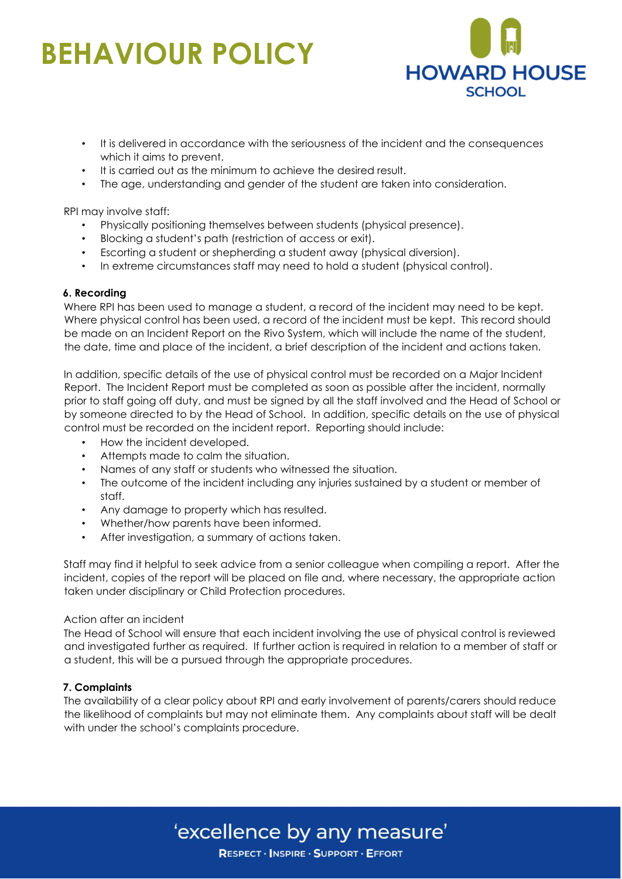

- It is delivered in accordance with the seriousness of the incident and the consequences which it aims to prevent.
- It is carried out as the minimum to achieve the desired result.
- The age, understanding and gender of the student are taken into consideration.

RPI may involve staff:

- Physically positioning themselves between students (physical presence).
- Blocking a student's path (restriction of access or exit).
- Escorting a student or shepherding a student away (physical diversion).
- In extreme circumstances staff may need to hold a student (physical control).

#### **6. Recording**

Where RPI has been used to manage a student, a record of the incident may need to be kept. Where physical control has been used, a record of the incident must be kept. This record should be made on an Incident Report on the Rivo System, which will include the name of the student, the date, time and place of the incident, a brief description of the incident and actions taken.

In addition, specific details of the use of physical control must be recorded on a Major Incident Report. The Incident Report must be completed as soon as possible after the incident, normally prior to staff going off duty, and must be signed by all the staff involved and the Head of School or by someone directed to by the Head of School. In addition, specific details on the use of physical control must be recorded on the incident report. Reporting should include:

- How the incident developed.
- Attempts made to calm the situation.
- Names of any staff or students who witnessed the situation.
- The outcome of the incident including any injuries sustained by a student or member of staff.
- Any damage to property which has resulted.
- Whether/how parents have been informed.
- After investigation, a summary of actions taken.

Staff may find it helpful to seek advice from a senior colleague when compiling a report. After the incident, copies of the report will be placed on file and, where necessary, the appropriate action taken under disciplinary or Child Protection procedures.

#### Action after an incident

The Head of School will ensure that each incident involving the use of physical control is reviewed and investigated further as required. If further action is required in relation to a member of staff or a student, this will be a pursued through the appropriate procedures.

#### **7. Complaints**

The availability of a clear policy about RPI and early involvement of parents/carers should reduce the likelihood of complaints but may not eliminate them. Any complaints about staff will be dealt with under the school's complaints procedure.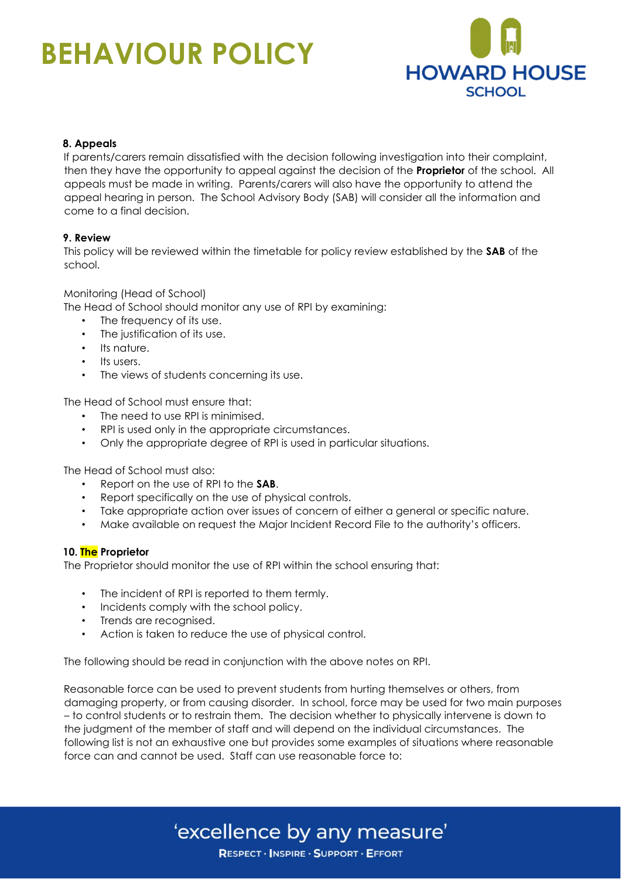

#### **8. Appeals**

If parents/carers remain dissatisfied with the decision following investigation into their complaint, then they have the opportunity to appeal against the decision of the **Proprietor** of the school. All appeals must be made in writing. Parents/carers will also have the opportunity to attend the appeal hearing in person. The School Advisory Body (SAB) will consider all the information and come to a final decision.

#### **9. Review**

This policy will be reviewed within the timetable for policy review established by the **SAB** of the school.

Monitoring (Head of School)

The Head of School should monitor any use of RPI by examining:

- The frequency of its use.
- The justification of its use.
- Its nature.
- Its users.
- The views of students concerning its use.

The Head of School must ensure that:

- The need to use RPI is minimised.
- RPI is used only in the appropriate circumstances.
- Only the appropriate degree of RPI is used in particular situations.

The Head of School must also:

- Report on the use of RPI to the **SAB**.
- Report specifically on the use of physical controls.
- Take appropriate action over issues of concern of either a general or specific nature.
- Make available on request the Major Incident Record File to the authority's officers.

#### **10. The Proprietor**

The Proprietor should monitor the use of RPI within the school ensuring that:

- The incident of RPI is reported to them termly.
- Incidents comply with the school policy.
- Trends are recognised.
- Action is taken to reduce the use of physical control.

The following should be read in conjunction with the above notes on RPI.

Reasonable force can be used to prevent students from hurting themselves or others, from damaging property, or from causing disorder. In school, force may be used for two main purposes – to control students or to restrain them. The decision whether to physically intervene is down to the judgment of the member of staff and will depend on the individual circumstances. The following list is not an exhaustive one but provides some examples of situations where reasonable force can and cannot be used. Staff can use reasonable force to: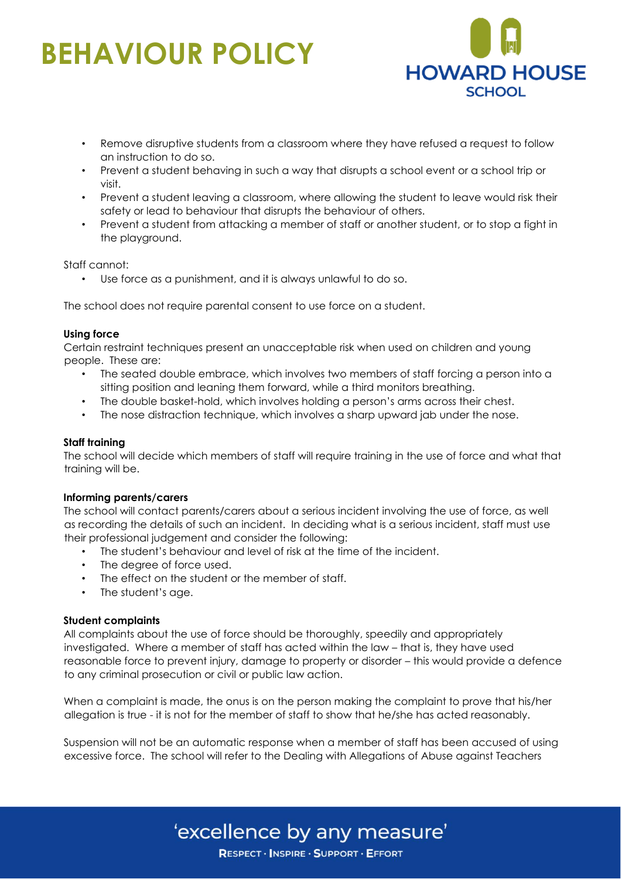

- Remove disruptive students from a classroom where they have refused a request to follow an instruction to do so.
- Prevent a student behaving in such a way that disrupts a school event or a school trip or visit.
- Prevent a student leaving a classroom, where allowing the student to leave would risk their safety or lead to behaviour that disrupts the behaviour of others.
- Prevent a student from attacking a member of staff or another student, or to stop a fight in the playground.

Staff cannot:

Use force as a punishment, and it is always unlawful to do so.

The school does not require parental consent to use force on a student.

#### **Using force**

Certain restraint techniques present an unacceptable risk when used on children and young people. These are:

- The seated double embrace, which involves two members of staff forcing a person into a sitting position and leaning them forward, while a third monitors breathing.
- The double basket-hold, which involves holding a person's arms across their chest.
- The nose distraction technique, which involves a sharp upward jab under the nose.

#### **Staff training**

The school will decide which members of staff will require training in the use of force and what that training will be.

#### **Informing parents/carers**

The school will contact parents/carers about a serious incident involving the use of force, as well as recording the details of such an incident. In deciding what is a serious incident, staff must use their professional judgement and consider the following:

- The student's behaviour and level of risk at the time of the incident.
- The degree of force used.
- The effect on the student or the member of staff.
- The student's age.

#### **Student complaints**

All complaints about the use of force should be thoroughly, speedily and appropriately investigated. Where a member of staff has acted within the law – that is, they have used reasonable force to prevent injury, damage to property or disorder – this would provide a defence to any criminal prosecution or civil or public law action.

When a complaint is made, the onus is on the person making the complaint to prove that his/her allegation is true - it is not for the member of staff to show that he/she has acted reasonably.

Suspension will not be an automatic response when a member of staff has been accused of using excessive force. The school will refer to the Dealing with Allegations of Abuse against Teachers

### 'excellence by any measure'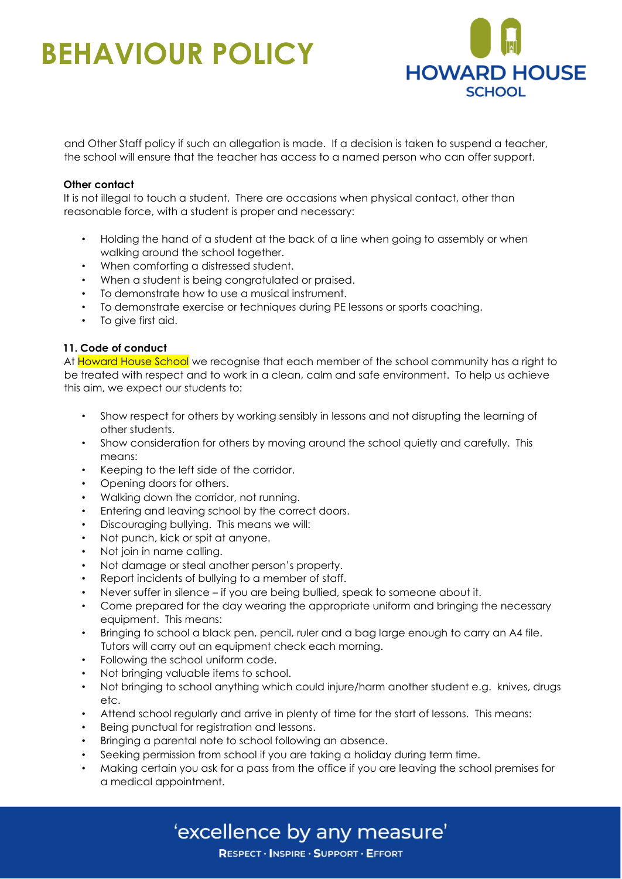

and Other Staff policy if such an allegation is made. If a decision is taken to suspend a teacher, the school will ensure that the teacher has access to a named person who can offer support.

#### **Other contact**

It is not illegal to touch a student. There are occasions when physical contact, other than reasonable force, with a student is proper and necessary:

- Holding the hand of a student at the back of a line when going to assembly or when walking around the school together.
- When comforting a distressed student.
- When a student is being congratulated or praised.
- To demonstrate how to use a musical instrument.
- To demonstrate exercise or techniques during PE lessons or sports coaching.
- To give first aid.

#### **11. Code of conduct**

At Howard House School we recognise that each member of the school community has a right to be treated with respect and to work in a clean, calm and safe environment. To help us achieve this aim, we expect our students to:

- Show respect for others by working sensibly in lessons and not disrupting the learning of other students.
- Show consideration for others by moving around the school quietly and carefully. This means:
- Keeping to the left side of the corridor.
- Opening doors for others.
- Walking down the corridor, not running.
- Entering and leaving school by the correct doors.
- Discouraging bullying. This means we will:
- Not punch, kick or spit at anyone.
- Not join in name calling.
- Not damage or steal another person's property.
- Report incidents of bullying to a member of staff.
- Never suffer in silence if you are being bullied, speak to someone about it.
- Come prepared for the day wearing the appropriate uniform and bringing the necessary equipment. This means:
- Bringing to school a black pen, pencil, ruler and a bag large enough to carry an A4 file. Tutors will carry out an equipment check each morning.
- Following the school uniform code.
- Not bringing valuable items to school.
- Not bringing to school anything which could injure/harm another student e.g. knives, drugs etc.
- Attend school regularly and arrive in plenty of time for the start of lessons. This means:
- Being punctual for registration and lessons.
- Bringing a parental note to school following an absence.
- Seeking permission from school if you are taking a holiday during term time.
- Making certain you ask for a pass from the office if you are leaving the school premises for a medical appointment.

'excellence by any measure'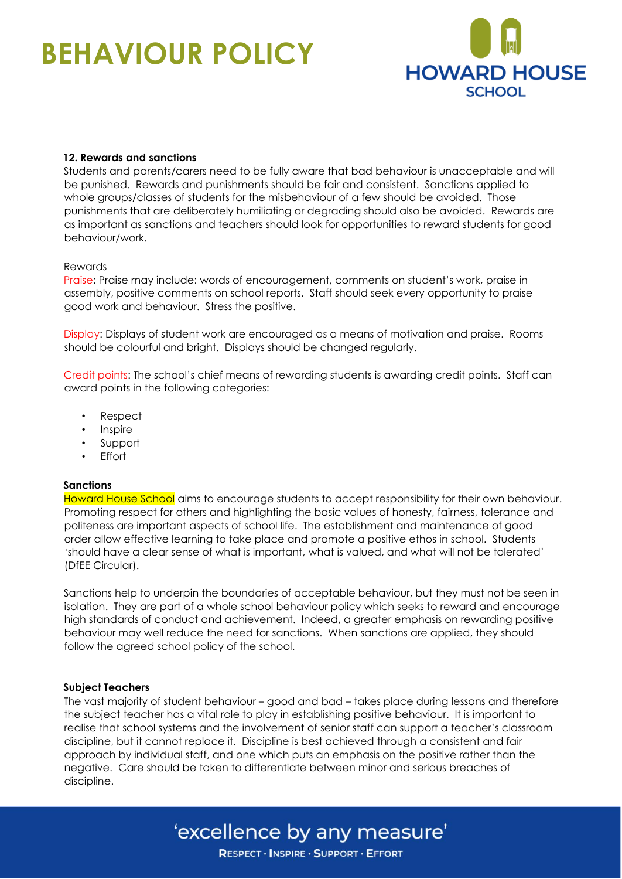

#### **12. Rewards and sanctions**

Students and parents/carers need to be fully aware that bad behaviour is unacceptable and will be punished. Rewards and punishments should be fair and consistent. Sanctions applied to whole groups/classes of students for the misbehaviour of a few should be avoided. Those punishments that are deliberately humiliating or degrading should also be avoided. Rewards are as important as sanctions and teachers should look for opportunities to reward students for good behaviour/work.

#### Rewards

Praise: Praise may include: words of encouragement, comments on student's work, praise in assembly, positive comments on school reports. Staff should seek every opportunity to praise good work and behaviour. Stress the positive.

Display: Displays of student work are encouraged as a means of motivation and praise. Rooms should be colourful and bright. Displays should be changed regularly.

Credit points: The school's chief means of rewarding students is awarding credit points. Staff can award points in the following categories:

- Respect
- **Inspire**
- **Support**
- **Effort**

#### **Sanctions**

Howard House School aims to encourage students to accept responsibility for their own behaviour. Promoting respect for others and highlighting the basic values of honesty, fairness, tolerance and politeness are important aspects of school life. The establishment and maintenance of good order allow effective learning to take place and promote a positive ethos in school. Students 'should have a clear sense of what is important, what is valued, and what will not be tolerated' (DfEE Circular).

Sanctions help to underpin the boundaries of acceptable behaviour, but they must not be seen in isolation. They are part of a whole school behaviour policy which seeks to reward and encourage high standards of conduct and achievement. Indeed, a greater emphasis on rewarding positive behaviour may well reduce the need for sanctions. When sanctions are applied, they should follow the agreed school policy of the school.

#### **Subject Teachers**

The vast majority of student behaviour – good and bad – takes place during lessons and therefore the subject teacher has a vital role to play in establishing positive behaviour. It is important to realise that school systems and the involvement of senior staff can support a teacher's classroom discipline, but it cannot replace it. Discipline is best achieved through a consistent and fair approach by individual staff, and one which puts an emphasis on the positive rather than the negative. Care should be taken to differentiate between minor and serious breaches of discipline.

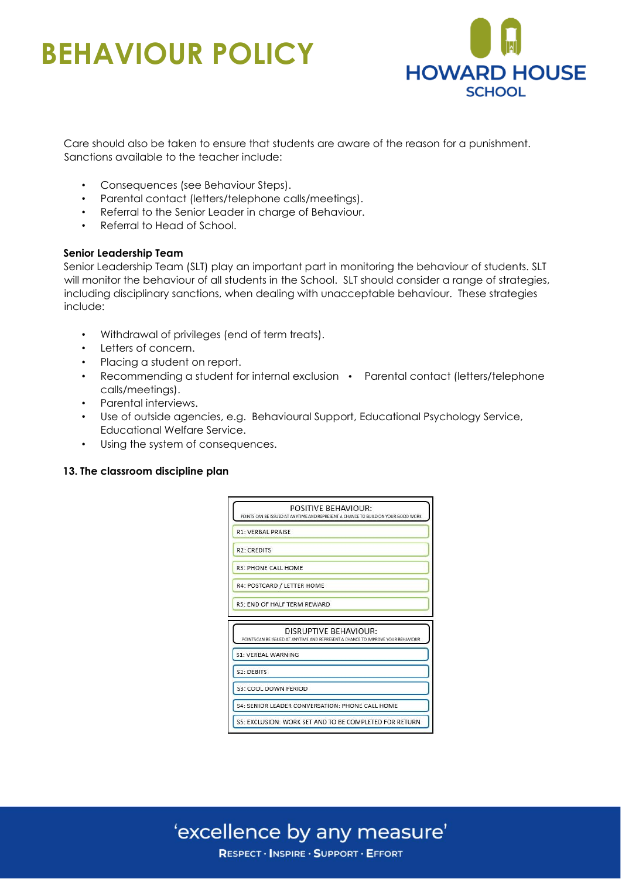

Care should also be taken to ensure that students are aware of the reason for a punishment. Sanctions available to the teacher include:

- Consequences (see Behaviour Steps).
- Parental contact (letters/telephone calls/meetings).
- Referral to the Senior Leader in charge of Behaviour.
- Referral to Head of School.

#### **Senior Leadership Team**

Senior Leadership Team (SLT) play an important part in monitoring the behaviour of students. SLT will monitor the behaviour of all students in the School. SLT should consider a range of strategies, including disciplinary sanctions, when dealing with unacceptable behaviour. These strategies include:

- Withdrawal of privileges (end of term treats).
- Letters of concern.
- Placing a student on report.
- Recommending a student for internal exclusion Parental contact (letters/telephone calls/meetings).
- Parental interviews.
- Use of outside agencies, e.g. Behavioural Support, Educational Psychology Service, Educational Welfare Service.
- Using the system of consequences.

#### **13. The classroom discipline plan**

|                    | POSITIVE BEHAVIOUR:<br>POINTS CAN BE ISSUED AT ANYTIME AND REPRESENT A CHANCE TO BUILD ON YOUR GOOD WORK  |
|--------------------|-----------------------------------------------------------------------------------------------------------|
|                    | R1: VERBAL PRAISE                                                                                         |
| <b>R2: CREDITS</b> |                                                                                                           |
|                    | R3: PHONE CALL HOME                                                                                       |
|                    | R4: POSTCARD / LETTER HOME                                                                                |
|                    | R5: END OF HALF TERM REWARD                                                                               |
|                    |                                                                                                           |
|                    | DISRUPTIVE BEHAVIOUR:<br>POINTS CAN BE ISSUED AT ANYTIME AND REPRESENT A CHANCE TO IMPROVE YOUR BEHAVIOUR |
|                    | <b>S1: VERBAL WARNING</b>                                                                                 |
| S2: DEBITS         |                                                                                                           |
|                    | S3: COOL DOWN PERIOD                                                                                      |
|                    | <b>S4: SENIOR LEADER CONVERSATION: PHONE CALL HOME</b>                                                    |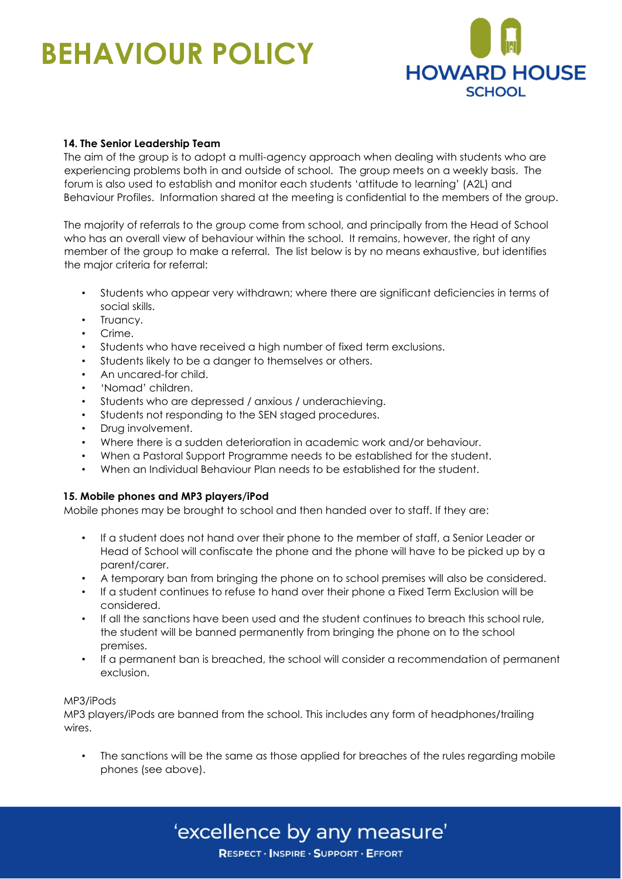

#### **14. The Senior Leadership Team**

The aim of the group is to adopt a multi-agency approach when dealing with students who are experiencing problems both in and outside of school. The group meets on a weekly basis. The forum is also used to establish and monitor each students 'attitude to learning' (A2L) and Behaviour Profiles. Information shared at the meeting is confidential to the members of the group.

The majority of referrals to the group come from school, and principally from the Head of School who has an overall view of behaviour within the school. It remains, however, the right of any member of the group to make a referral. The list below is by no means exhaustive, but identifies the major criteria for referral:

- Students who appear very withdrawn; where there are significant deficiencies in terms of social skills.
- Truancy.
- Crime.
- Students who have received a high number of fixed term exclusions.
- Students likely to be a danger to themselves or others.
- An uncared-for child.
- 'Nomad' children.
- Students who are depressed / anxious / underachieving.
- Students not responding to the SEN staged procedures.
- Drug involvement.
- Where there is a sudden deterioration in academic work and/or behaviour.
- When a Pastoral Support Programme needs to be established for the student.
- When an Individual Behaviour Plan needs to be established for the student.

#### **15. Mobile phones and MP3 players/iPod**

Mobile phones may be brought to school and then handed over to staff. If they are:

- If a student does not hand over their phone to the member of staff, a Senior Leader or Head of School will confiscate the phone and the phone will have to be picked up by a parent/carer.
- A temporary ban from bringing the phone on to school premises will also be considered.
- If a student continues to refuse to hand over their phone a Fixed Term Exclusion will be considered.
- If all the sanctions have been used and the student continues to breach this school rule, the student will be banned permanently from bringing the phone on to the school premises.
- If a permanent ban is breached, the school will consider a recommendation of permanent exclusion.

#### MP3/iPods

MP3 players/iPods are banned from the school. This includes any form of headphones/trailing wires.

The sanctions will be the same as those applied for breaches of the rules regarding mobile phones (see above).

### 'excellence by any measure'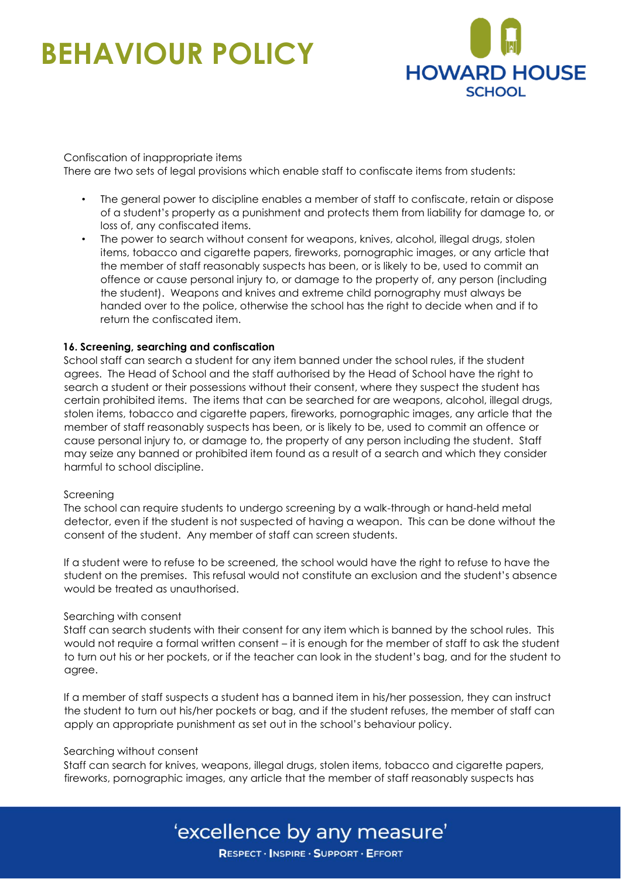

#### Confiscation of inappropriate items There are two sets of legal provisions which enable staff to confiscate items from students:

- The general power to discipline enables a member of staff to confiscate, retain or dispose of a student's property as a punishment and protects them from liability for damage to, or loss of, any confiscated items.
- The power to search without consent for weapons, knives, alcohol, illegal drugs, stolen items, tobacco and cigarette papers, fireworks, pornographic images, or any article that the member of staff reasonably suspects has been, or is likely to be, used to commit an offence or cause personal injury to, or damage to the property of, any person (including the student). Weapons and knives and extreme child pornography must always be handed over to the police, otherwise the school has the right to decide when and if to return the confiscated item.

#### **16. Screening, searching and confiscation**

School staff can search a student for any item banned under the school rules, if the student agrees. The Head of School and the staff authorised by the Head of School have the right to search a student or their possessions without their consent, where they suspect the student has certain prohibited items. The items that can be searched for are weapons, alcohol, illegal drugs, stolen items, tobacco and cigarette papers, fireworks, pornographic images, any article that the member of staff reasonably suspects has been, or is likely to be, used to commit an offence or cause personal injury to, or damage to, the property of any person including the student. Staff may seize any banned or prohibited item found as a result of a search and which they consider harmful to school discipline.

#### Screening

The school can require students to undergo screening by a walk-through or hand-held metal detector, even if the student is not suspected of having a weapon. This can be done without the consent of the student. Any member of staff can screen students.

If a student were to refuse to be screened, the school would have the right to refuse to have the student on the premises. This refusal would not constitute an exclusion and the student's absence would be treated as unauthorised.

#### Searching with consent

Staff can search students with their consent for any item which is banned by the school rules. This would not require a formal written consent – it is enough for the member of staff to ask the student to turn out his or her pockets, or if the teacher can look in the student's bag, and for the student to agree.

If a member of staff suspects a student has a banned item in his/her possession, they can instruct the student to turn out his/her pockets or bag, and if the student refuses, the member of staff can apply an appropriate punishment as set out in the school's behaviour policy.

#### Searching without consent

Staff can search for knives, weapons, illegal drugs, stolen items, tobacco and cigarette papers, fireworks, pornographic images, any article that the member of staff reasonably suspects has

### 'excellence by any measure'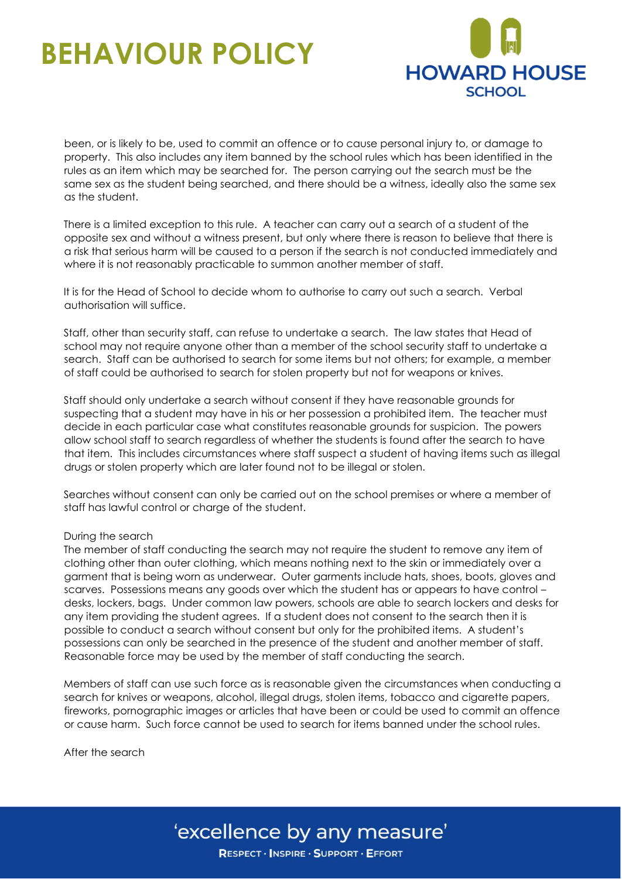

been, or is likely to be, used to commit an offence or to cause personal injury to, or damage to property. This also includes any item banned by the school rules which has been identified in the rules as an item which may be searched for. The person carrying out the search must be the same sex as the student being searched, and there should be a witness, ideally also the same sex as the student.

There is a limited exception to this rule. A teacher can carry out a search of a student of the opposite sex and without a witness present, but only where there is reason to believe that there is a risk that serious harm will be caused to a person if the search is not conducted immediately and where it is not reasonably practicable to summon another member of staff.

It is for the Head of School to decide whom to authorise to carry out such a search. Verbal authorisation will suffice.

Staff, other than security staff, can refuse to undertake a search. The law states that Head of school may not require anyone other than a member of the school security staff to undertake a search. Staff can be authorised to search for some items but not others; for example, a member of staff could be authorised to search for stolen property but not for weapons or knives.

Staff should only undertake a search without consent if they have reasonable grounds for suspecting that a student may have in his or her possession a prohibited item. The teacher must decide in each particular case what constitutes reasonable grounds for suspicion. The powers allow school staff to search regardless of whether the students is found after the search to have that item. This includes circumstances where staff suspect a student of having items such as illegal drugs or stolen property which are later found not to be illegal or stolen.

Searches without consent can only be carried out on the school premises or where a member of staff has lawful control or charge of the student.

#### During the search

The member of staff conducting the search may not require the student to remove any item of clothing other than outer clothing, which means nothing next to the skin or immediately over a garment that is being worn as underwear. Outer garments include hats, shoes, boots, gloves and scarves. Possessions means any goods over which the student has or appears to have control – desks, lockers, bags. Under common law powers, schools are able to search lockers and desks for any item providing the student agrees. If a student does not consent to the search then it is possible to conduct a search without consent but only for the prohibited items. A student's possessions can only be searched in the presence of the student and another member of staff. Reasonable force may be used by the member of staff conducting the search.

Members of staff can use such force as is reasonable given the circumstances when conducting a search for knives or weapons, alcohol, illegal drugs, stolen items, tobacco and cigarette papers, fireworks, pornographic images or articles that have been or could be used to commit an offence or cause harm. Such force cannot be used to search for items banned under the school rules.

After the search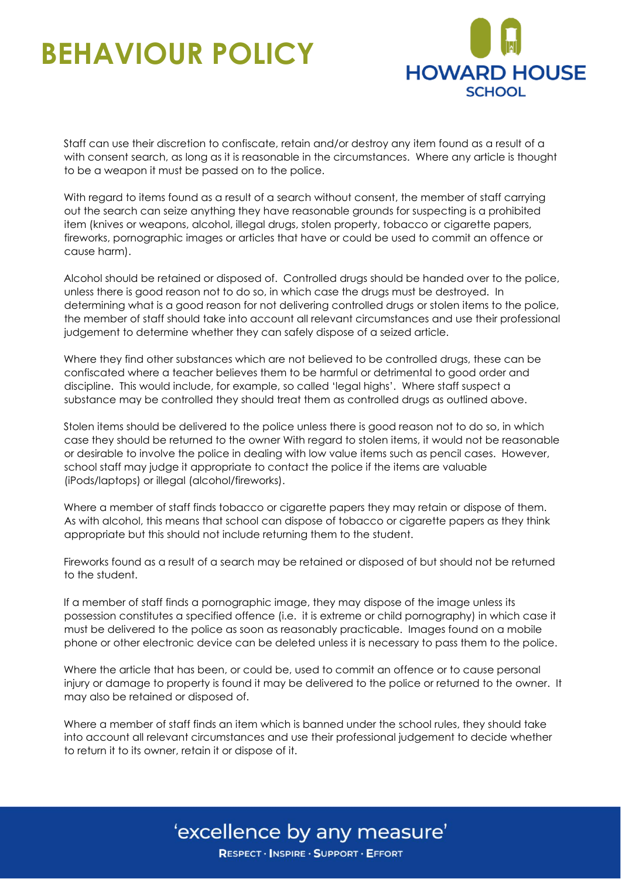

Staff can use their discretion to confiscate, retain and/or destroy any item found as a result of a with consent search, as long as it is reasonable in the circumstances. Where any article is thought to be a weapon it must be passed on to the police.

With regard to items found as a result of a search without consent, the member of staff carrying out the search can seize anything they have reasonable grounds for suspecting is a prohibited item (knives or weapons, alcohol, illegal drugs, stolen property, tobacco or cigarette papers, fireworks, pornographic images or articles that have or could be used to commit an offence or cause harm).

Alcohol should be retained or disposed of. Controlled drugs should be handed over to the police, unless there is good reason not to do so, in which case the drugs must be destroyed. In determining what is a good reason for not delivering controlled drugs or stolen items to the police, the member of staff should take into account all relevant circumstances and use their professional judgement to determine whether they can safely dispose of a seized article.

Where they find other substances which are not believed to be controlled drugs, these can be confiscated where a teacher believes them to be harmful or detrimental to good order and discipline. This would include, for example, so called 'legal highs'. Where staff suspect a substance may be controlled they should treat them as controlled drugs as outlined above.

Stolen items should be delivered to the police unless there is good reason not to do so, in which case they should be returned to the owner With regard to stolen items, it would not be reasonable or desirable to involve the police in dealing with low value items such as pencil cases. However, school staff may judge it appropriate to contact the police if the items are valuable (iPods/laptops) or illegal (alcohol/fireworks).

Where a member of staff finds tobacco or cigarette papers they may retain or dispose of them. As with alcohol, this means that school can dispose of tobacco or cigarette papers as they think appropriate but this should not include returning them to the student.

Fireworks found as a result of a search may be retained or disposed of but should not be returned to the student.

If a member of staff finds a pornographic image, they may dispose of the image unless its possession constitutes a specified offence (i.e. it is extreme or child pornography) in which case it must be delivered to the police as soon as reasonably practicable. Images found on a mobile phone or other electronic device can be deleted unless it is necessary to pass them to the police.

Where the article that has been, or could be, used to commit an offence or to cause personal injury or damage to property is found it may be delivered to the police or returned to the owner. It may also be retained or disposed of.

Where a member of staff finds an item which is banned under the school rules, they should take into account all relevant circumstances and use their professional judgement to decide whether to return it to its owner, retain it or dispose of it.

### 'excellence by any measure'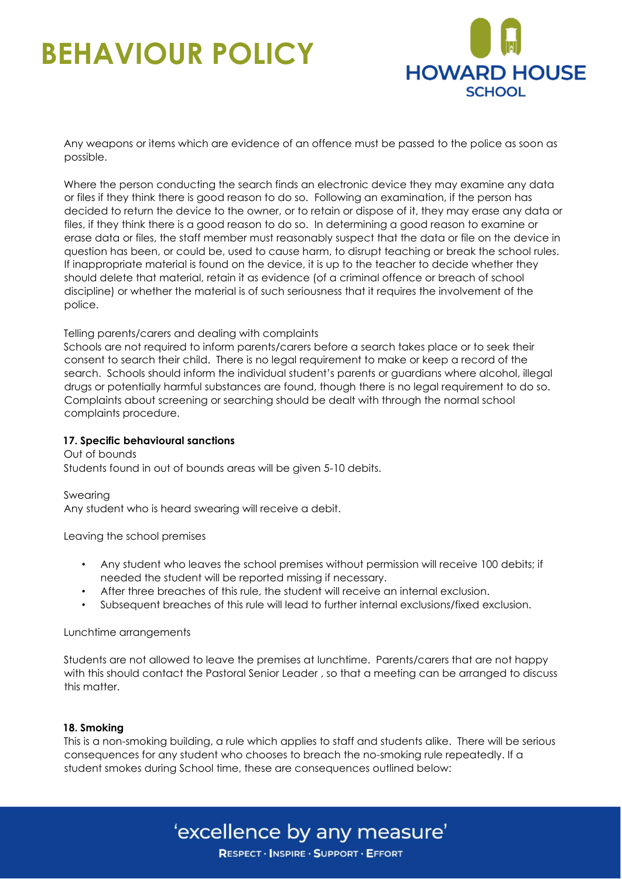

Any weapons or items which are evidence of an offence must be passed to the police as soon as possible.

Where the person conducting the search finds an electronic device they may examine any data or files if they think there is good reason to do so. Following an examination, if the person has decided to return the device to the owner, or to retain or dispose of it, they may erase any data or files, if they think there is a good reason to do so. In determining a good reason to examine or erase data or files, the staff member must reasonably suspect that the data or file on the device in question has been, or could be, used to cause harm, to disrupt teaching or break the school rules. If inappropriate material is found on the device, it is up to the teacher to decide whether they should delete that material, retain it as evidence (of a criminal offence or breach of school discipline) or whether the material is of such seriousness that it requires the involvement of the police.

#### Telling parents/carers and dealing with complaints

Schools are not required to inform parents/carers before a search takes place or to seek their consent to search their child. There is no legal requirement to make or keep a record of the search. Schools should inform the individual student's parents or guardians where alcohol, illegal drugs or potentially harmful substances are found, though there is no legal requirement to do so. Complaints about screening or searching should be dealt with through the normal school complaints procedure.

#### **17. Specific behavioural sanctions**

Out of bounds Students found in out of bounds areas will be given 5-10 debits.

Swearing Any student who is heard swearing will receive a debit.

Leaving the school premises

- Any student who leaves the school premises without permission will receive 100 debits; if needed the student will be reported missing if necessary.
- After three breaches of this rule, the student will receive an internal exclusion.
- Subsequent breaches of this rule will lead to further internal exclusions/fixed exclusion.

Lunchtime arrangements

Students are not allowed to leave the premises at lunchtime. Parents/carers that are not happy with this should contact the Pastoral Senior Leader , so that a meeting can be arranged to discuss this matter.

#### **18. Smoking**

This is a non-smoking building, a rule which applies to staff and students alike. There will be serious consequences for any student who chooses to breach the no-smoking rule repeatedly. If a student smokes during School time, these are consequences outlined below:

### 'excellence by any measure'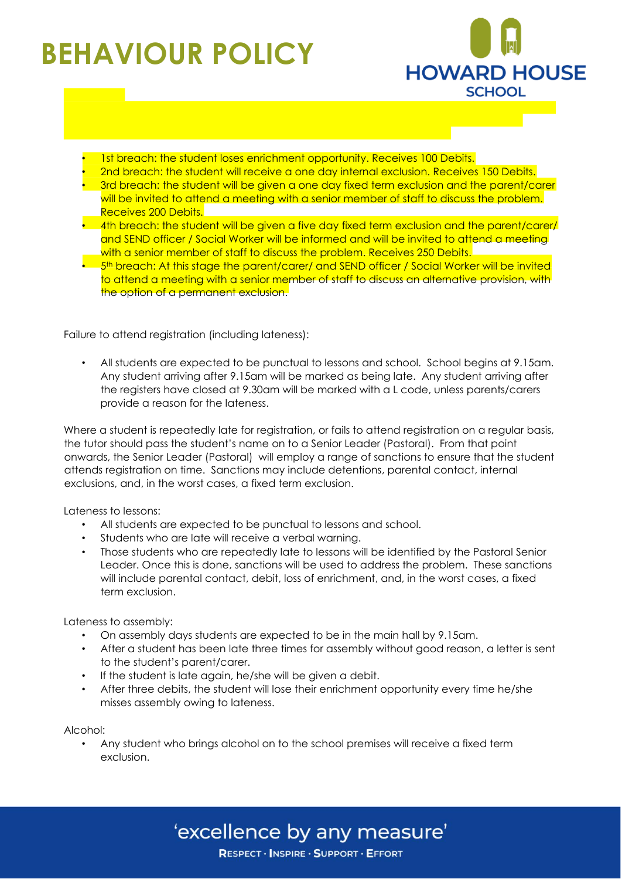

- 1st breach: the student loses enrichment opportunity. Receives 100 Debits.
- 2nd breach: the student will receive a one day internal exclusion. Receives 150 Debits. • 3rd breach: the student will be given a one day fixed term exclusion and the parent/carer will be invited to attend a meeting with a senior member of staff to discuss the problem. Receives 200 Debits.
- $\bullet$  4th breach: the student will be given a five day fixed term exclusion and the parent/carer/ and SEND officer / Social Worker will be informed and will be invited to attend a meeting with a senior member of staff to discuss the problem. Receives 250 Debits.
- 5<sup>th</sup> breach: At this stage the parent/carer/ and SEND officer / Social Worker will be invited to attend a meeting with a senior member of staff to discuss an alternative provision, with the option of a permanent exclusion.

Failure to attend registration (including lateness):

• All students are expected to be punctual to lessons and school. School begins at 9.15am. Any student arriving after 9.15am will be marked as being late. Any student arriving after the registers have closed at 9.30am will be marked with a L code, unless parents/carers provide a reason for the lateness.

Where a student is repeatedly late for registration, or fails to attend registration on a regular basis, the tutor should pass the student's name on to a Senior Leader (Pastoral). From that point onwards, the Senior Leader (Pastoral) will employ a range of sanctions to ensure that the student attends registration on time. Sanctions may include detentions, parental contact, internal exclusions, and, in the worst cases, a fixed term exclusion.

Lateness to lessons:

- All students are expected to be punctual to lessons and school.
- Students who are late will receive a verbal warning.
- Those students who are repeatedly late to lessons will be identified by the Pastoral Senior Leader. Once this is done, sanctions will be used to address the problem. These sanctions will include parental contact, debit, loss of enrichment, and, in the worst cases, a fixed term exclusion.

Lateness to assembly:

- On assembly days students are expected to be in the main hall by 9.15am.
- After a student has been late three times for assembly without good reason, a letter is sent to the student's parent/carer.
- If the student is late again, he/she will be given a debit.
- After three debits, the student will lose their enrichment opportunity every time he/she misses assembly owing to lateness.

Alcohol:

• Any student who brings alcohol on to the school premises will receive a fixed term exclusion.

'excellence by any measure'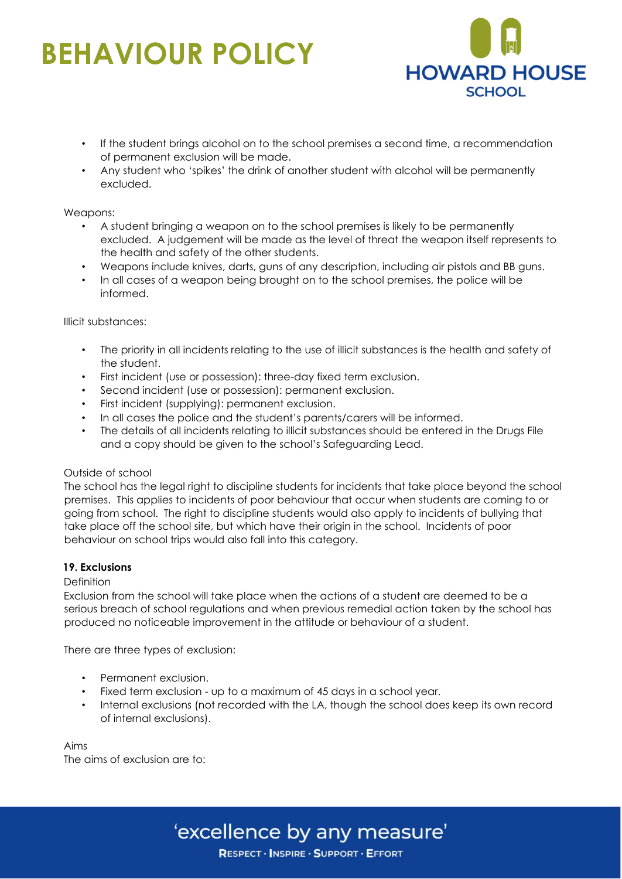

- If the student brings alcohol on to the school premises a second time, a recommendation of permanent exclusion will be made.
- Any student who 'spikes' the drink of another student with alcohol will be permanently excluded.

#### Weapons:

- A student bringing a weapon on to the school premises is likely to be permanently excluded. A judgement will be made as the level of threat the weapon itself represents to the health and safety of the other students.
- Weapons include knives, darts, guns of any description, including air pistols and BB guns.
- In all cases of a weapon being brought on to the school premises, the police will be informed.

#### Illicit substances:

- The priority in all incidents relating to the use of illicit substances is the health and safety of the student.
- First incident (use or possession): three-day fixed term exclusion.
- Second incident (use or possession): permanent exclusion.
- First incident (supplying): permanent exclusion.
- In all cases the police and the student's parents/carers will be informed.
- The details of all incidents relating to illicit substances should be entered in the Drugs File and a copy should be given to the school's Safeguarding Lead.

#### Outside of school

The school has the legal right to discipline students for incidents that take place beyond the school premises. This applies to incidents of poor behaviour that occur when students are coming to or going from school. The right to discipline students would also apply to incidents of bullying that take place off the school site, but which have their origin in the school. Incidents of poor behaviour on school trips would also fall into this category.

#### **19. Exclusions**

#### **Definition**

Exclusion from the school will take place when the actions of a student are deemed to be a serious breach of school regulations and when previous remedial action taken by the school has produced no noticeable improvement in the attitude or behaviour of a student.

There are three types of exclusion:

- Permanent exclusion.
- Fixed term exclusion up to a maximum of 45 days in a school year.
- Internal exclusions (not recorded with the LA, though the school does keep its own record of internal exclusions).

Aims The aims of exclusion are to:

### 'excellence by any measure'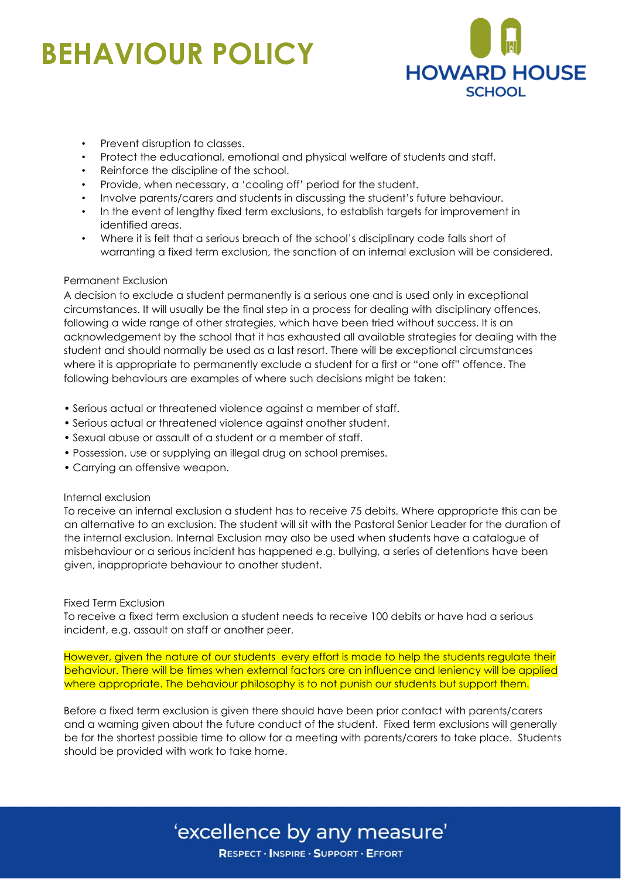

- Prevent disruption to classes.
- Protect the educational, emotional and physical welfare of students and staff.
- Reinforce the discipline of the school.
- Provide, when necessary, a 'cooling off' period for the student.
- Involve parents/carers and students in discussing the student's future behaviour.
- In the event of lengthy fixed term exclusions, to establish targets for improvement in identified areas.
- Where it is felt that a serious breach of the school's disciplinary code falls short of warranting a fixed term exclusion, the sanction of an internal exclusion will be considered.

#### Permanent Exclusion

A decision to exclude a student permanently is a serious one and is used only in exceptional circumstances. It will usually be the final step in a process for dealing with disciplinary offences, following a wide range of other strategies, which have been tried without success. It is an acknowledgement by the school that it has exhausted all available strategies for dealing with the student and should normally be used as a last resort. There will be exceptional circumstances where it is appropriate to permanently exclude a student for a first or "one off" offence. The following behaviours are examples of where such decisions might be taken:

- Serious actual or threatened violence against a member of staff.
- Serious actual or threatened violence against another student.
- Sexual abuse or assault of a student or a member of staff.
- Possession, use or supplying an illegal drug on school premises.
- Carrying an offensive weapon.

#### Internal exclusion

To receive an internal exclusion a student has to receive 75 debits. Where appropriate this can be an alternative to an exclusion. The student will sit with the Pastoral Senior Leader for the duration of the internal exclusion. Internal Exclusion may also be used when students have a catalogue of misbehaviour or a serious incident has happened e.g. bullying, a series of detentions have been given, inappropriate behaviour to another student.

#### Fixed Term Exclusion

To receive a fixed term exclusion a student needs to receive 100 debits or have had a serious incident, e.g. assault on staff or another peer.

However, given the nature of our students every effort is made to help the students regulate their behaviour. There will be times when external factors are an influence and leniency will be applied where appropriate. The behaviour philosophy is to not punish our students but support them.

Before a fixed term exclusion is given there should have been prior contact with parents/carers and a warning given about the future conduct of the student. Fixed term exclusions will generally be for the shortest possible time to allow for a meeting with parents/carers to take place. Students should be provided with work to take home.

### 'excellence by any measure'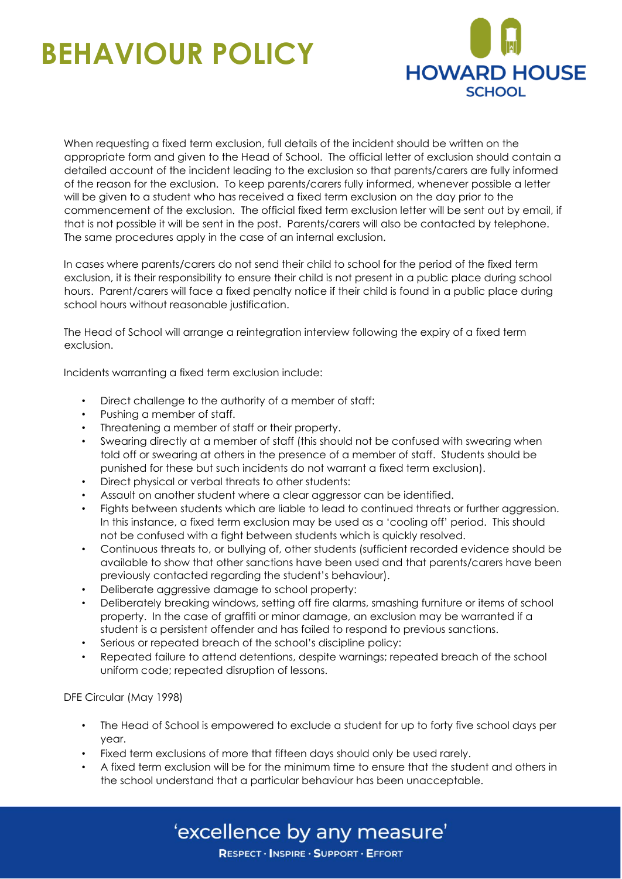

When requesting a fixed term exclusion, full details of the incident should be written on the appropriate form and given to the Head of School. The official letter of exclusion should contain a detailed account of the incident leading to the exclusion so that parents/carers are fully informed of the reason for the exclusion. To keep parents/carers fully informed, whenever possible a letter will be given to a student who has received a fixed term exclusion on the day prior to the commencement of the exclusion. The official fixed term exclusion letter will be sent out by email, if that is not possible it will be sent in the post. Parents/carers will also be contacted by telephone. The same procedures apply in the case of an internal exclusion.

In cases where parents/carers do not send their child to school for the period of the fixed term exclusion, it is their responsibility to ensure their child is not present in a public place during school hours. Parent/carers will face a fixed penalty notice if their child is found in a public place during school hours without reasonable justification.

The Head of School will arrange a reintegration interview following the expiry of a fixed term exclusion.

Incidents warranting a fixed term exclusion include:

- Direct challenge to the authority of a member of staff:
- Pushing a member of staff.
- Threatening a member of staff or their property.
- Swearing directly at a member of staff (this should not be confused with swearing when told off or swearing at others in the presence of a member of staff. Students should be punished for these but such incidents do not warrant a fixed term exclusion).
- Direct physical or verbal threats to other students:
- Assault on another student where a clear aggressor can be identified.
- Fights between students which are liable to lead to continued threats or further aggression. In this instance, a fixed term exclusion may be used as a 'cooling off' period. This should not be confused with a fight between students which is quickly resolved.
- Continuous threats to, or bullying of, other students (sufficient recorded evidence should be available to show that other sanctions have been used and that parents/carers have been previously contacted regarding the student's behaviour).
- Deliberate aggressive damage to school property:
- Deliberately breaking windows, setting off fire alarms, smashing furniture or items of school property. In the case of graffiti or minor damage, an exclusion may be warranted if a student is a persistent offender and has failed to respond to previous sanctions.
- Serious or repeated breach of the school's discipline policy:
- Repeated failure to attend detentions, despite warnings; repeated breach of the school uniform code; repeated disruption of lessons.

DFE Circular (May 1998)

- The Head of School is empowered to exclude a student for up to forty five school days per year.
- Fixed term exclusions of more that fifteen days should only be used rarely.
- A fixed term exclusion will be for the minimum time to ensure that the student and others in the school understand that a particular behaviour has been unacceptable.

'excellence by any measure'